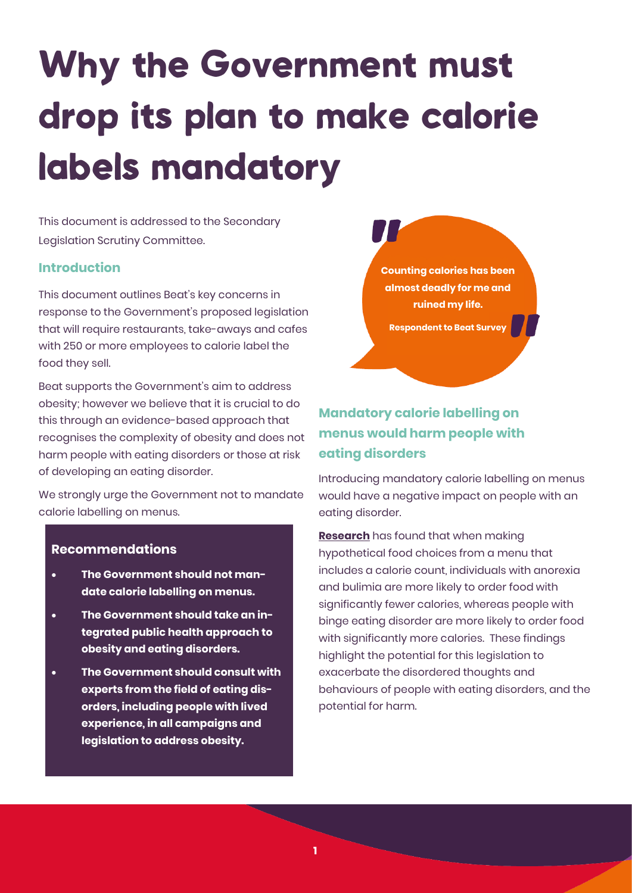# **Why the Government must** drop its plan to make calorie labels mandatory

This document is addressed to the Secondary Legislation Scrutiny Committee.

#### **Introduction**

This document outlines Beat's key concerns in response to the Government's proposed legislation that will require restaurants, take-aways and cafes with 250 or more employees to calorie label the food they sell.

Beat supports the Government's aim to address obesity; however we believe that it is crucial to do this through an evidence-based approach that recognises the complexity of obesity and does not harm people with eating disorders or those at risk of developing an eating disorder.

We strongly urge the Government not to mandate calorie labelling on menus.

#### **Recommendations**

- **The Government should not mandate calorie labelling on menus.**
- **The Government should take an integrated public health approach to obesity and eating disorders.**
- **The Government should consult with experts from the field of eating disorders, including people with lived experience, in all campaigns and legislation to address obesity.**

**Counting calories has been almost deadly for me and ruined my life. Respondent to Beat Survey**

# **Mandatory calorie labelling on menus would harm people with eating disorders**

Introducing mandatory calorie labelling on menus would have a negative impact on people with an eating disorder.

**[Research](https://www.ncbi.nlm.nih.gov/pmc/articles/PMC5378635/)** has found that when making hypothetical food choices from a menu that includes a calorie count, individuals with anorexia and bulimia are more likely to order food with significantly fewer calories, whereas people with binge eating disorder are more likely to order food with significantly more calories. These findings highlight the potential for this legislation to exacerbate the disordered thoughts and behaviours of people with eating disorders, and the potential for harm.

**1**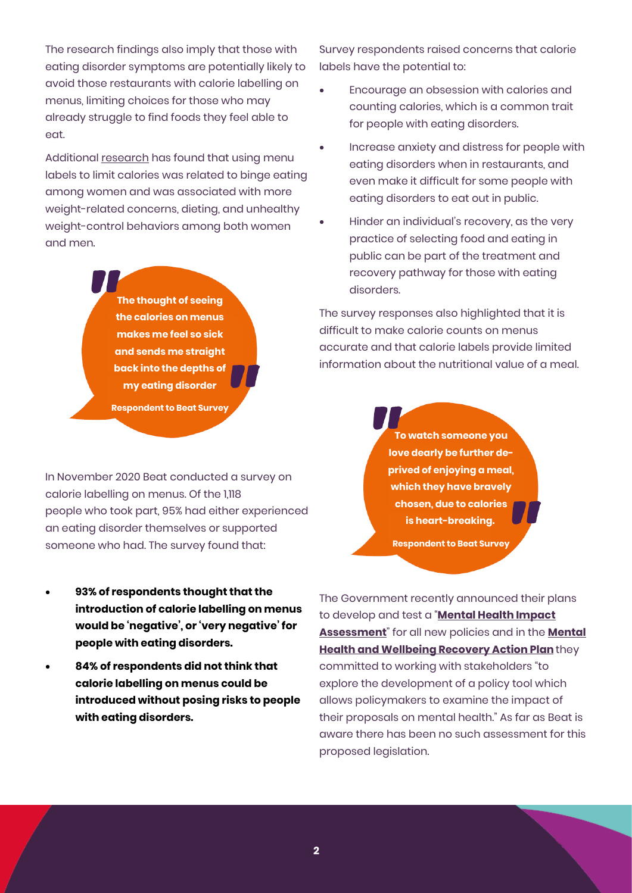The research findings also imply that those with eating disorder symptoms are potentially likely to avoid those restaurants with calorie labelling on menus, limiting choices for those who may already struggle to find foods they feel able to eat.

Additional [research](https://www.sciencedirect.com/science/article/abs/pii/S2212267217317501) has found that using menu labels to limit calories was related to binge eating among women and was associated with more weight-related concerns, dieting, and unhealthy weight-control behaviors among both women and men.

> **The thought of seeing the calories on menus makes me feel so sick and sends me straight back into the depths of my eating disorder**

**Respondent to Beat Survey**

In November 2020 Beat conducted a survey on calorie labelling on menus. Of the 1,118 people who took part, 95% had either experienced an eating disorder themselves or supported someone who had. The survey found that:

- **93% of respondents thought that the introduction of calorie labelling on menus would be 'negative', or 'very negative' for people with eating disorders.**
- **84% of respondents did not think that calorie labelling on menus could be introduced without posing risks to people with eating disorders.**

Survey respondents raised concerns that calorie labels have the potential to:

- Encourage an obsession with calories and counting calories, which is a common trait for people with eating disorders.
- Increase anxiety and distress for people with eating disorders when in restaurants, and even make it difficult for some people with eating disorders to eat out in public.
- Hinder an individual's recovery, as the very practice of selecting food and eating in public can be part of the treatment and recovery pathway for those with eating disorders.

The survey responses also highlighted that it is difficult to make calorie counts on menus accurate and that calorie labels provide limited information about the nutritional value of a meal.

> **To watch someone you love dearly be further deprived of enjoying a meal, which they have bravely chosen, due to calories is heart-breaking.**

**Respondent to Beat Survey**

The Government recently announced their plans to develop and test a "**[Mental Health Impact](https://www.gov.uk/government/news/mental-health-recovery-plan-backed-by-500-million)  [Assessment](https://www.gov.uk/government/news/mental-health-recovery-plan-backed-by-500-million)**" for all new policies and in the **[Mental](https://assets.publishing.service.gov.uk/government/uploads/system/uploads/attachment_data/file/973936/covid-19-mental-health-and-wellbeing-recovery-action-plan.pdf)  [Health and Wellbeing Recovery Action Plan](https://assets.publishing.service.gov.uk/government/uploads/system/uploads/attachment_data/file/973936/covid-19-mental-health-and-wellbeing-recovery-action-plan.pdf)**they committed to working with stakeholders "to explore the development of a policy tool which allows policymakers to examine the impact of their proposals on mental health." As far as Beat is aware there has been no such assessment for this proposed legislation.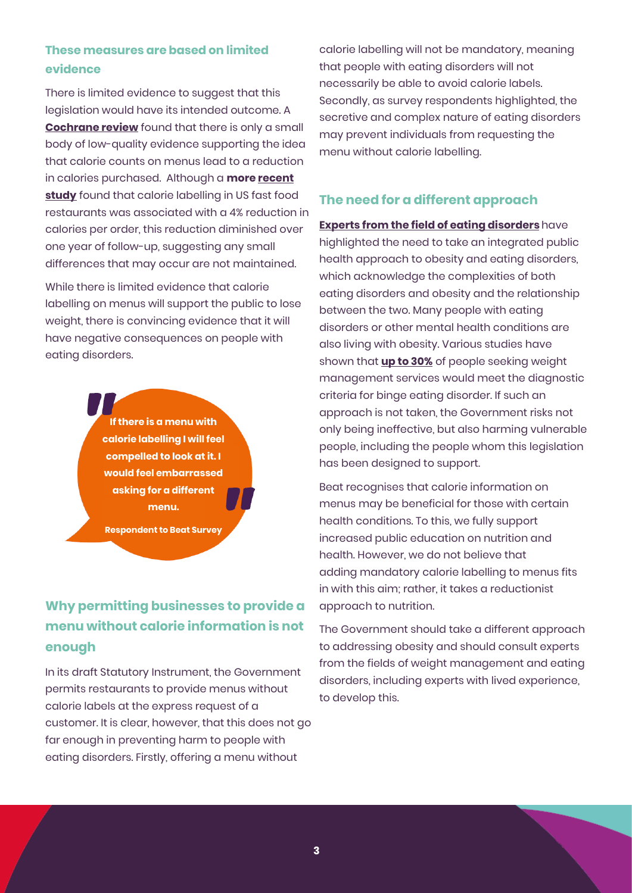### **These measures are based on limited evidence**

There is limited evidence to suggest that this legislation would have its intended outcome. A **[Cochrane review](https://pubmed.ncbi.nlm.nih.gov/29482264/)** found that there is only a small body of low-quality evidence supporting the idea that calorie counts on menus lead to a reduction in calories purchased. Although a **more [recent](https://www.bmj.com/content/367/bmj.l5837)  [study](https://www.bmj.com/content/367/bmj.l5837)** found that calorie labelling in US fast food restaurants was associated with a 4% reduction in calories per order, this reduction diminished over one year of follow-up, suggesting any small differences that may occur are not maintained.

While there is limited evidence that calorie labelling on menus will support the public to lose weight, there is convincing evidence that it will have negative consequences on people with eating disorders.

> **If there is a menu with calorie labelling I will feel compelled to look at it. I would feel embarrassed asking for a different menu.**

**Respondent to Beat Survey**

# **Why permitting businesses to provide a menu without calorie information is not enough**

In its draft Statutory Instrument, the Government permits restaurants to provide menus without calorie labels at the express request of a customer. It is clear, however, that this does not go far enough in preventing harm to people with eating disorders. Firstly, offering a menu without

calorie labelling will not be mandatory, meaning that people with eating disorders will not necessarily be able to avoid calorie labels. Secondly, as survey respondents highlighted, the secretive and complex nature of eating disorders may prevent individuals from requesting the menu without calorie labelling.

#### **The need for a different approach**

#### **[Experts from the field of eating disorders](https://www.thelancet.com/journals/lanchi/article/PIIS2352-4642(21)00094-8/fulltext)** have

highlighted the need to take an integrated public health approach to obesity and eating disorders, which acknowledge the complexities of both eating disorders and obesity and the relationship between the two. Many people with eating disorders or other mental health conditions are also living with obesity. Various studies have shown that **[up to 30%](https://www.beateatingdisorders.org.uk/uploads/documents/2020/7/anti-obesity-report-final-2.pdf)** of people seeking weight management services would meet the diagnostic criteria for binge eating disorder. If such an approach is not taken, the Government risks not only being ineffective, but also harming vulnerable people, including the people whom this legislation has been designed to support.

Beat recognises that calorie information on menus may be beneficial for those with certain health conditions. To this, we fully support increased public education on nutrition and health. However, we do not believe that adding mandatory calorie labelling to menus fits in with this aim; rather, it takes a reductionist approach to nutrition.

The Government should take a different approach to addressing obesity and should consult experts from the fields of weight management and eating disorders, including experts with lived experience, to develop this.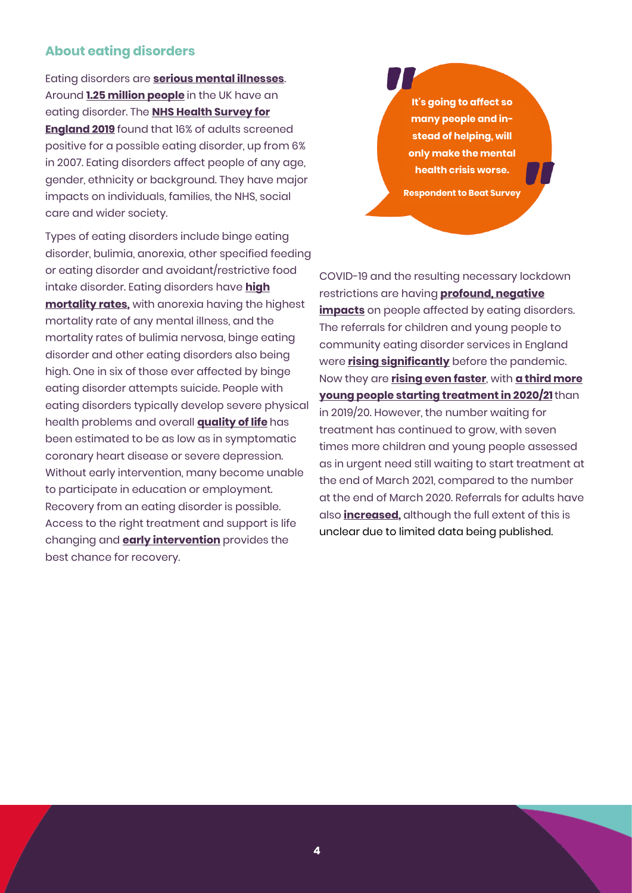#### **About eating disorders**

Eating disorders are **[serious mental illnesses](https://www.researchgate.net/publication/300368547_Eating_disorders_The_big_issue)**. Around **[1.25 million people](https://www.beateatingdisorders.org.uk/how-many-people-eating-disorder-uk)** in the UK have an eating disorder. The **[NHS Health Survey for](https://digital.nhs.uk/data-and-information/publications/statistical/health-survey-for-england/2019)  [England 2019](https://digital.nhs.uk/data-and-information/publications/statistical/health-survey-for-england/2019)** found that 16% of adults screened positive for a possible eating disorder, up from 6% in 2007. Eating disorders affect people of any age, gender, ethnicity or background. They have major impacts on individuals, families, the NHS, social care and wider society.

Types of eating disorders include binge eating disorder, bulimia, anorexia, other specified feeding or eating disorder and avoidant/restrictive food intake disorder. Eating disorders have **[high](https://jamanetwork.com/journals/jamapsychiatry/article-abstract/1107207)  [mortality rates,](https://jamanetwork.com/journals/jamapsychiatry/article-abstract/1107207)** with anorexia having the highest mortality rate of any mental illness, and the mortality rates of bulimia nervosa, binge eating disorder and other eating disorders also being high. One in six of those ever affected by binge eating disorder attempts suicide. People with eating disorders typically develop severe physical health problems and overall **[quality of life](https://www.researchgate.net/publication/300368547_Eating_disorders_The_big_issue)** has been estimated to be as low as in symptomatic coronary heart disease or severe depression. Without early intervention, many become unable to participate in education or employment. Recovery from an eating disorder is possible. Access to the right treatment and support is life changing and **[early intervention](https://www.rcpsych.ac.uk/docs/default-source/improving-care/better-mh-policy/position-statements/ps03_19.pdf?sfvrsn=b1283556_2)** provides the best chance for recovery.

**It's going to affect so many people and instead of helping, will only make the mental health crisis worse.**

**Respondent to Beat Survey**

COVID-19 and the resulting necessary lockdown restrictions are having **[profound, negative](https://www.beateatingdisorders.org.uk/coronavirus)  [impacts](https://www.beateatingdisorders.org.uk/coronavirus)** on people affected by eating disorders. The referrals for children and young people to community eating disorder services in England were **[rising significantly](https://www.beateatingdisorders.org.uk/uploads/documents/2021/5/short-change-report.pdf)** before the pandemic. Now they are **[rising even faster](https://www.rcpch.ac.uk/news-events/news/paediatricians-warn-parents-be-alert-signs-eating-disorders-over-holidays)**, with **[a third more](https://www.england.nhs.uk/statistics/statistical-work-areas/cyped-waiting-times/)  [young people starting treatment in 2020/21](https://www.england.nhs.uk/statistics/statistical-work-areas/cyped-waiting-times/)**than in 2019/20. However, the number waiting for treatment has continued to grow, with seven times more children and young people assessed as in urgent need still waiting to start treatment at the end of March 2021, compared to the number at the end of March 2020. Referrals for adults have also **[increased,](https://questions-statements.parliament.uk/written-questions/detail/2020-11-04/111591)** although the full extent of this is unclear due to limited data being published.